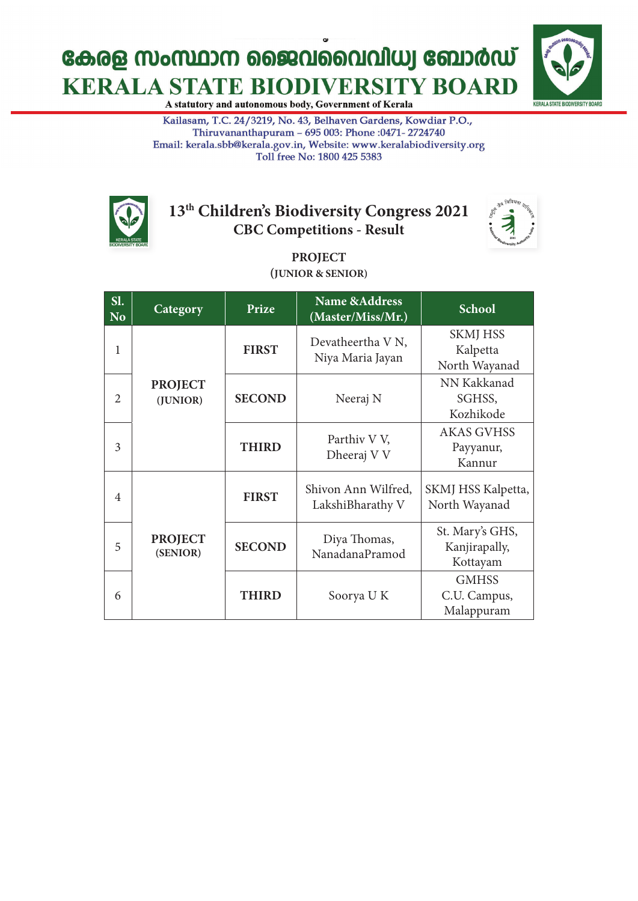

A statutory and autonomous body, Government of Kerala

Kailasam, T.C. 24/3219, No. 43, Belhaven Gardens, Kowdiar P.O., Thiruvananthapuram - 695 003: Phone :0471- 2724740 Email: kerala.sbb@kerala.gov.in, Website: www.keralabiodiversity.org Toll free No: 1800 425 5383



#### **13th Children's Biodiversity Congress 2021 CBC Competitions - Result**



**PROJECT (JUNIOR & SENIOR)**

| Sl.<br><b>No</b>      | Category                   | Prize         | <b>Name &amp;Address</b><br>(Master/Miss/Mr.)     | <b>School</b>                                |
|-----------------------|----------------------------|---------------|---------------------------------------------------|----------------------------------------------|
| 1                     |                            | <b>FIRST</b>  | Devatheertha V <sub>N</sub> ,<br>Niya Maria Jayan | <b>SKMJ HSS</b><br>Kalpetta<br>North Wayanad |
| $\mathcal{D}_{\cdot}$ | <b>PROJECT</b><br>(JUNIOR) | <b>SECOND</b> | Neeraj N                                          | NN Kakkanad<br>SGHSS,<br>Kozhikode           |
| 3                     |                            | <b>THIRD</b>  | Parthiv V V,<br>Dheeraj V V                       | <b>AKAS GVHSS</b><br>Payyanur,<br>Kannur     |
| $\overline{4}$        | <b>PROJECT</b><br>(SENIOR) | <b>FIRST</b>  | Shivon Ann Wilfred,<br>LakshiBharathy V           | SKMJ HSS Kalpetta,<br>North Wayanad          |
| 5                     |                            | <b>SECOND</b> | Diya Thomas,<br>NanadanaPramod                    | St. Mary's GHS,<br>Kanjirapally,<br>Kottayam |
| 6                     |                            | <b>THIRD</b>  | Soorya U K                                        | <b>GMHSS</b><br>C.U. Campus,<br>Malappuram   |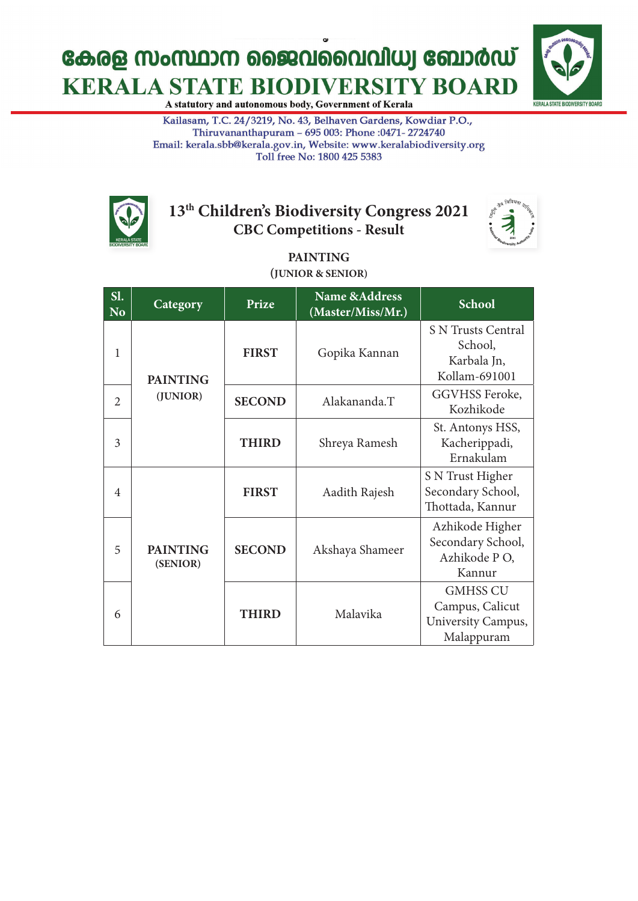

A statutory and autonomous body, Government of Kerala

Kailasam, T.C. 24/3219, No. 43, Belhaven Gardens, Kowdiar P.O., Thiruvananthapuram - 695 003: Phone :0471- 2724740 Email: kerala.sbb@kerala.gov.in, Website: www.keralabiodiversity.org Toll free No: 1800 425 5383



#### **13th Children's Biodiversity Congress 2021 CBC Competitions - Result**



**PAINTING (JUNIOR & SENIOR)**

| Sl.<br>N <sub>o</sub> | Category                    | Prize         | <b>Name &amp;Address</b><br>(Master/Miss/Mr.) | <b>School</b>                                                          |
|-----------------------|-----------------------------|---------------|-----------------------------------------------|------------------------------------------------------------------------|
| 1                     | <b>PAINTING</b>             | <b>FIRST</b>  | Gopika Kannan                                 | <b>S N Trusts Central</b><br>School,<br>Karbala Jn,<br>Kollam-691001   |
| 2                     | (JUNIOR)                    | <b>SECOND</b> | Alakananda.T                                  | GGVHSS Feroke,<br>Kozhikode                                            |
| 3                     |                             | <b>THIRD</b>  | Shreya Ramesh                                 | St. Antonys HSS,<br>Kacherippadi,<br>Ernakulam                         |
| $\overline{4}$        |                             | <b>FIRST</b>  | Aadith Rajesh                                 | S N Trust Higher<br>Secondary School,<br>Thottada, Kannur              |
| 5                     | <b>PAINTING</b><br>(SENIOR) | <b>SECOND</b> | Akshaya Shameer                               | Azhikode Higher<br>Secondary School,<br>Azhikode PO,<br>Kannur         |
| 6                     |                             | <b>THIRD</b>  | Malavika                                      | <b>GMHSS CU</b><br>Campus, Calicut<br>University Campus,<br>Malappuram |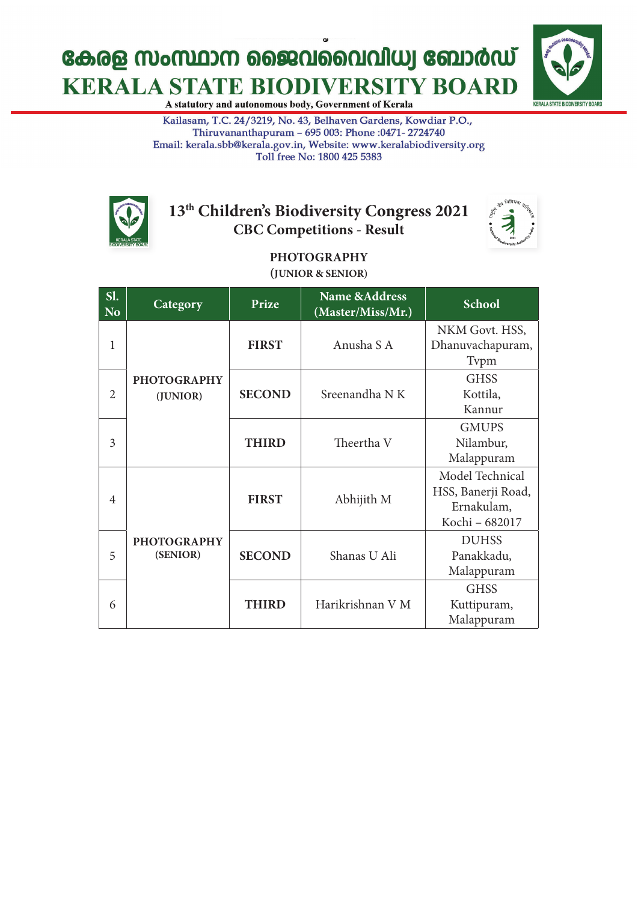

A statutory and autonomous body, Government of Kerala

Kailasam, T.C. 24/3219, No. 43, Belhaven Gardens, Kowdiar P.O., Thiruvananthapuram - 695 003: Phone :0471- 2724740 Email: kerala.sbb@kerala.gov.in, Website: www.keralabiodiversity.org Toll free No: 1800 425 5383



### **13th Children's Biodiversity Congress 2021 CBC Competitions - Result**



#### **PHOTOGRAPHY (JUNIOR & SENIOR)**

| SI.<br><b>No</b> | Category           | Prize                     | Name &Address<br>(Master/Miss/Mr.) | <b>School</b>      |
|------------------|--------------------|---------------------------|------------------------------------|--------------------|
|                  |                    | <b>FIRST</b>              | Anusha S A                         | NKM Govt. HSS,     |
| 1                |                    |                           |                                    | Dhanuvachapuram,   |
|                  |                    |                           |                                    | Typm               |
|                  | <b>PHOTOGRAPHY</b> |                           | Sreenandha N K                     | <b>GHSS</b>        |
| $\overline{2}$   | (JUNIOR)           | <b>SECOND</b>             |                                    | Kottila,           |
|                  |                    |                           |                                    | Kannur             |
|                  |                    | <b>THIRD</b>              | Theertha V                         | <b>GMUPS</b>       |
| 3                |                    |                           |                                    | Nilambur,          |
|                  |                    |                           |                                    | Malappuram         |
|                  |                    | <b>FIRST</b>              | Abhijith M                         | Model Technical    |
| $\overline{4}$   |                    |                           |                                    | HSS, Banerji Road, |
|                  |                    |                           |                                    | Ernakulam,         |
|                  |                    |                           |                                    | Kochi - 682017     |
|                  | <b>PHOTOGRAPHY</b> | (SENIOR)<br><b>SECOND</b> | Shanas U Ali                       | <b>DUHSS</b>       |
| 5                |                    |                           |                                    | Panakkadu,         |
|                  |                    |                           |                                    | Malappuram         |
|                  |                    | <b>THIRD</b>              | Harikrishnan V M                   | <b>GHSS</b>        |
| 6                |                    |                           |                                    | Kuttipuram,        |
|                  |                    |                           |                                    | Malappuram         |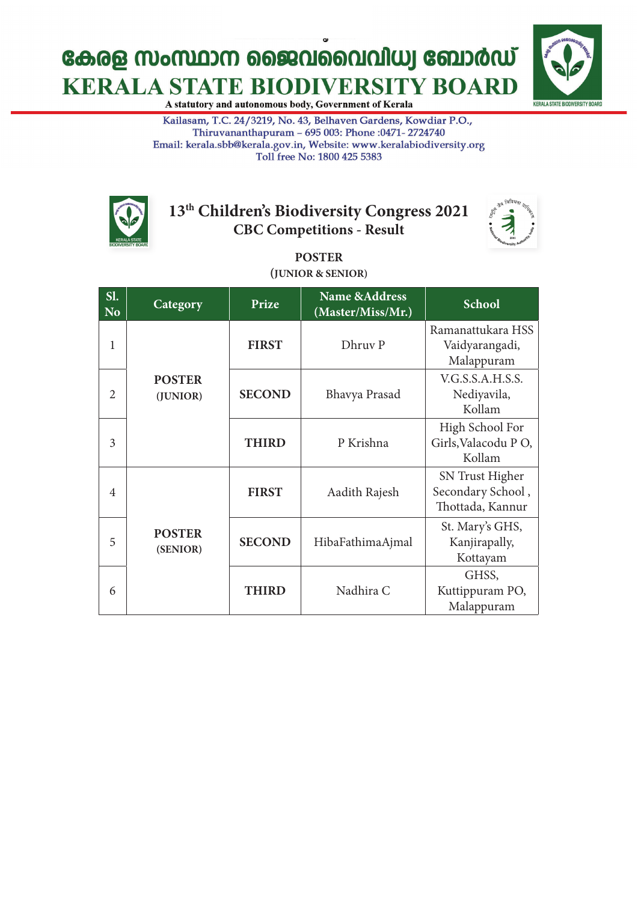

A statutory and autonomous body, Government of Kerala

Kailasam, T.C. 24/3219, No. 43, Belhaven Gardens, Kowdiar P.O., Thiruvananthapuram - 695 003: Phone :0471- 2724740 Email: kerala.sbb@kerala.gov.in, Website: www.keralabiodiversity.org Toll free No: 1800 425 5383



#### **13th Children's Biodiversity Congress 2021 CBC Competitions - Result**



| SI.<br>N <sub>o</sub> | Category                  | Prize         | <b>Name &amp;Address</b><br>(Master/Miss/Mr.) | <b>School</b>                                            |
|-----------------------|---------------------------|---------------|-----------------------------------------------|----------------------------------------------------------|
| 1                     |                           | <b>FIRST</b>  | Dhruy P                                       | Ramanattukara HSS<br>Vaidyarangadi,<br>Malappuram        |
| $\overline{2}$        | <b>POSTER</b><br>(JUNIOR) | <b>SECOND</b> | Bhavya Prasad                                 | V.G.S.S.A.H.S.S.<br>Nediyavila,<br>Kollam                |
| 3                     |                           | <b>THIRD</b>  | P Krishna                                     | High School For<br>Girls, Valacodu PO,<br>Kollam         |
| $\overline{4}$        | <b>POSTER</b><br>(SENIOR) | <b>FIRST</b>  | Aadith Rajesh                                 | SN Trust Higher<br>Secondary School,<br>Thottada, Kannur |
| 5                     |                           | <b>SECOND</b> | HibaFathimaAjmal                              | St. Mary's GHS,<br>Kanjirapally,<br>Kottayam             |
| 6                     |                           | <b>THIRD</b>  | Nadhira C                                     | GHSS,<br>Kuttippuram PO,<br>Malappuram                   |

**POSTER (JUNIOR & SENIOR)**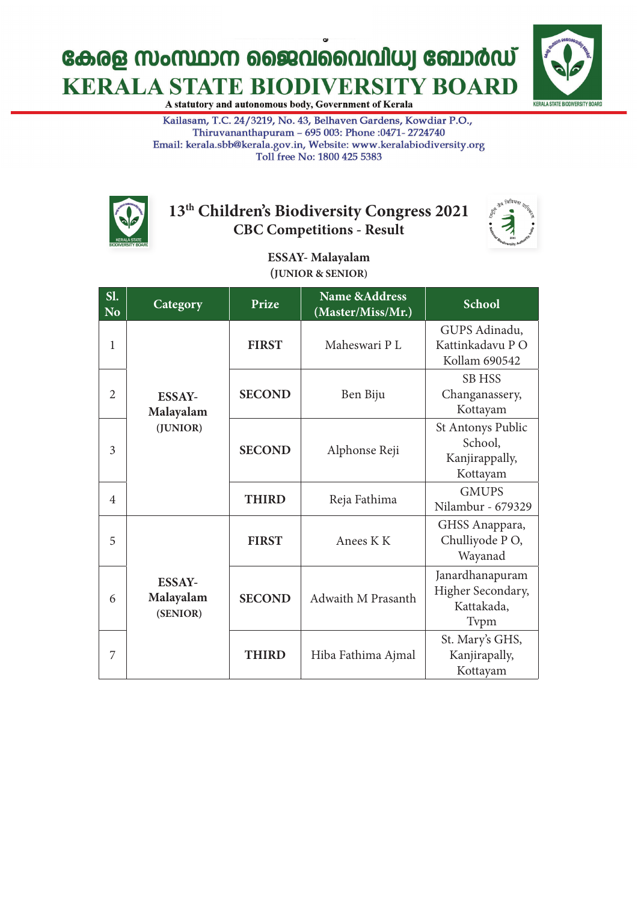

A statutory and autonomous body, Government of Kerala

Kailasam, T.C. 24/3219, No. 43, Belhaven Gardens, Kowdiar P.O., Thiruvananthapuram - 695 003: Phone :0471- 2724740 Email: kerala.sbb@kerala.gov.in, Website: www.keralabiodiversity.org Toll free No: 1800 425 5383



### **13th Children's Biodiversity Congress 2021 CBC Competitions - Result**



**ESSAY- Malayalam (JUNIOR & SENIOR)**

| Sl.<br>N <sub>o</sub> | Category                               | Prize         | <b>Name &amp;Address</b><br>(Master/Miss/Mr.) | <b>School</b>                                                     |
|-----------------------|----------------------------------------|---------------|-----------------------------------------------|-------------------------------------------------------------------|
| $\mathbf{1}$          | <b>ESSAY-</b><br>Malayalam<br>(JUNIOR) | <b>FIRST</b>  | Maheswari P L                                 | GUPS Adinadu,<br>Kattinkadavu PO<br>Kollam 690542                 |
| $\overline{2}$        |                                        | <b>SECOND</b> | Ben Biju                                      | <b>SB HSS</b><br>Changanassery,<br>Kottayam                       |
| 3                     |                                        | <b>SECOND</b> | Alphonse Reji                                 | <b>St Antonys Public</b><br>School,<br>Kanjirappally,<br>Kottayam |
| $\overline{4}$        |                                        | <b>THIRD</b>  | Reja Fathima                                  | <b>GMUPS</b><br>Nilambur - 679329                                 |
| 5                     | <b>ESSAY-</b><br>Malayalam<br>(SENIOR) | <b>FIRST</b>  | Anees K K                                     | GHSS Anappara,<br>Chulliyode P O,<br>Wayanad                      |
| 6                     |                                        | <b>SECOND</b> | Adwaith M Prasanth                            | Janardhanapuram<br>Higher Secondary,<br>Kattakada,<br>Tvpm        |
| 7                     |                                        | <b>THIRD</b>  | Hiba Fathima Ajmal                            | St. Mary's GHS,<br>Kanjirapally,<br>Kottayam                      |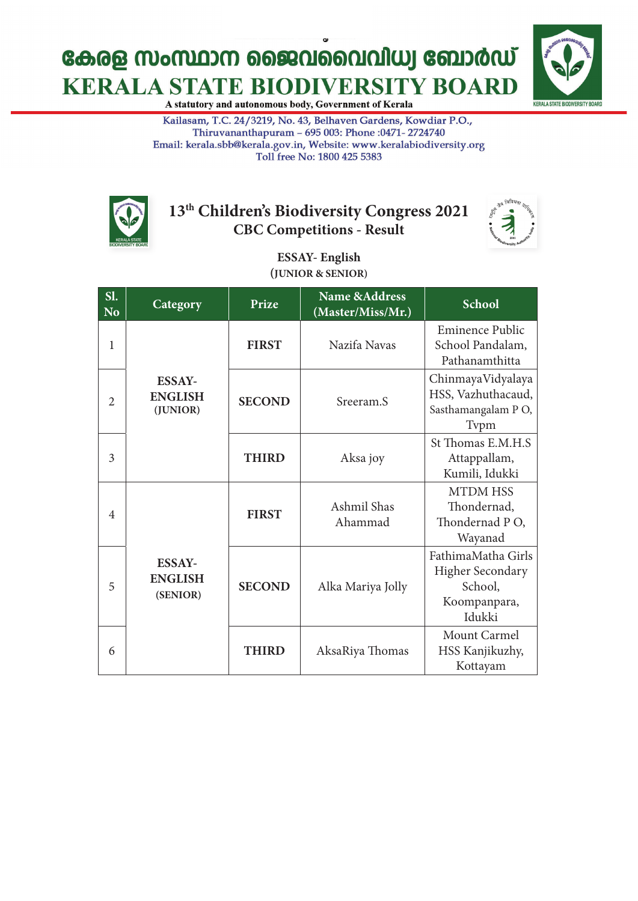

A statutory and autonomous body, Government of Kerala

Kailasam, T.C. 24/3219, No. 43, Belhaven Gardens, Kowdiar P.O., Thiruvananthapuram - 695 003: Phone :0471- 2724740 Email: kerala.sbb@kerala.gov.in, Website: www.keralabiodiversity.org Toll free No: 1800 425 5383



### **13th Children's Biodiversity Congress 2021 CBC Competitions - Result**



**ESSAY- English (JUNIOR & SENIOR)**

| Sl.<br><b>No</b> | Category                                    | Prize         | <b>Name &amp;Address</b><br>(Master/Miss/Mr.) | <b>School</b>                                                                      |
|------------------|---------------------------------------------|---------------|-----------------------------------------------|------------------------------------------------------------------------------------|
| $\mathbf{1}$     | <b>ESSAY-</b><br><b>ENGLISH</b><br>(JUNIOR) | <b>FIRST</b>  | Nazifa Navas                                  | Eminence Public<br>School Pandalam,<br>Pathanamthitta                              |
| $\overline{2}$   |                                             | <b>SECOND</b> | Sreeram.S                                     | ChinmayaVidyalaya<br>HSS, Vazhuthacaud,<br>Sasthamangalam PO,<br>Typm              |
| 3                |                                             | <b>THIRD</b>  | Aksa joy                                      | St Thomas E.M.H.S<br>Attappallam,<br>Kumili, Idukki                                |
| $\overline{4}$   | <b>ESSAY-</b><br><b>ENGLISH</b><br>(SENIOR) | <b>FIRST</b>  | Ashmil Shas<br>Ahammad                        | <b>MTDM HSS</b><br>Thondernad,<br>Thondernad PO,<br>Wayanad                        |
| 5                |                                             | <b>SECOND</b> | Alka Mariya Jolly                             | FathimaMatha Girls<br><b>Higher Secondary</b><br>School,<br>Koompanpara,<br>Idukki |
| 6                |                                             | <b>THIRD</b>  | AksaRiya Thomas                               | Mount Carmel<br>HSS Kanjikuzhy,<br>Kottayam                                        |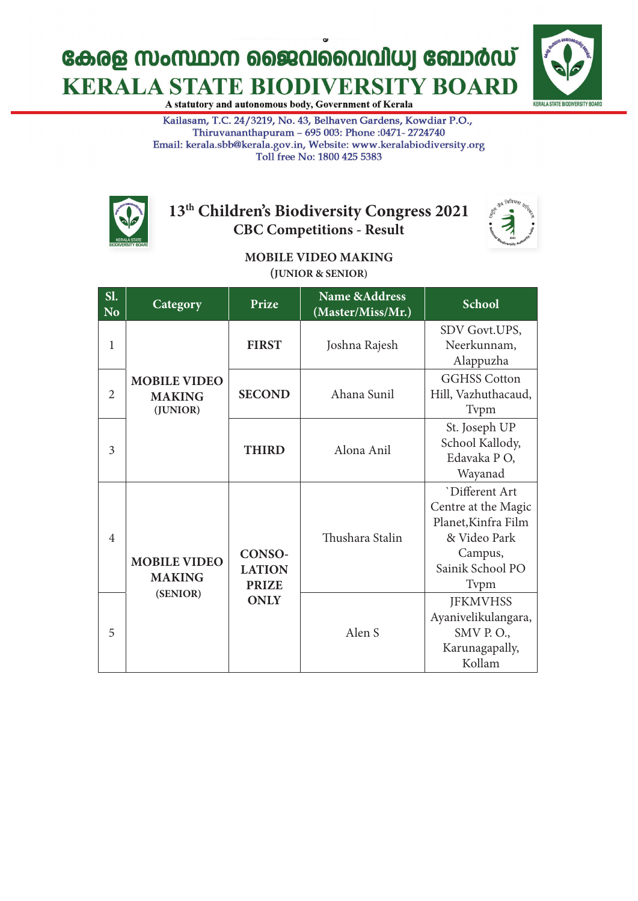

A statutory and autonomous body, Government of Kerala

Kailasam, T.C. 24/3219, No. 43, Belhaven Gardens, Kowdiar P.O., Thiruvananthapuram - 695 003: Phone :0471- 2724740 Email: kerala.sbb@kerala.gov.in, Website: www.keralabiodiversity.org Toll free No: 1800 425 5383



#### **13th Children's Biodiversity Congress 2021 CBC Competitions - Result**



#### **MOBILE VIDEO MAKING (JUNIOR & SENIOR)**

| Sl.<br><b>No</b> | Category                                         | Prize                                          | Name &Address<br>(Master/Miss/Mr.) | <b>School</b>                                                                                                       |
|------------------|--------------------------------------------------|------------------------------------------------|------------------------------------|---------------------------------------------------------------------------------------------------------------------|
| $\mathbf{1}$     | <b>MOBILE VIDEO</b><br><b>MAKING</b><br>(JUNIOR) | <b>FIRST</b>                                   | Joshna Rajesh                      | SDV Govt.UPS,<br>Neerkunnam,<br>Alappuzha                                                                           |
| $\overline{2}$   |                                                  | <b>SECOND</b>                                  | Ahana Sunil                        | <b>GGHSS Cotton</b><br>Hill, Vazhuthacaud,<br>Typm                                                                  |
| 3                |                                                  | <b>THIRD</b>                                   | Alona Anil                         | St. Joseph UP<br>School Kallody,<br>Edavaka PO,<br>Wayanad                                                          |
| $\overline{4}$   | <b>MOBILE VIDEO</b><br><b>MAKING</b>             | <b>CONSO-</b><br><b>LATION</b><br><b>PRIZE</b> | Thushara Stalin                    | 'Different Art<br>Centre at the Magic<br>Planet, Kinfra Film<br>& Video Park<br>Campus,<br>Sainik School PO<br>Typm |
| 5                | (SENIOR)                                         | <b>ONLY</b>                                    | Alen S                             | <b>JFKMVHSS</b><br>Ayanivelikulangara,<br>SMV P.O.,<br>Karunagapally,<br>Kollam                                     |